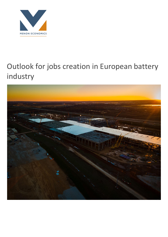

# Outlook for jobs creation in European battery industry

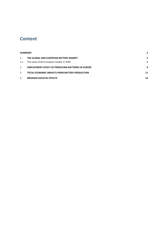# **Content**

| <b>SUMMARY</b> |                                                           |    |
|----------------|-----------------------------------------------------------|----|
| $1_{\ldots}$   | THE GLOBAL AND EUROPEAN BATTERY MARKET                    | 5  |
| 1.1            | The value of the European market in 2030                  | 6  |
| $\mathcal{P}$  | <b>EMPLOYMENT EFFECT OF PRODUCING BATTERIES IN EUROPE</b> | 9  |
| 3              | <b>TOTAL ECONOMIC IMPACTS FROM BATTERY PRODUCTION</b>     | 11 |
| 4              | <b>BROADER SOCIETAL EFFECTS</b>                           | 14 |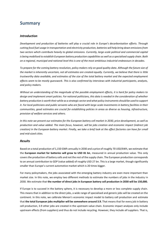# **Summary**

## *Introduction*

*Development and production of batteries will play a crucial role in Europe's decarbonisation efforts. Through cutting fossil fuel usage in transportation and electricity production, batteries will help bring down emissions from two sectors which contribute heavily to global emissions. Currently, large-scale political and commercial capital is being mobilised to establish European battery production capabilities as well as a specialised supply chain. Both on a regional, municipal and national level this is one of the most ambitious industrial endeavours in decades.* 

*To prepare for the coming battery revolution, policy makers rely on good quality data. Although the future size of*  the market is inherently uncertain, not all estimates are created equally. Currently, we believe that there is little *trustworthy data available, and estimates of the size of the total battery market and the expected employment effects seem to be mostly guesswork. This is also confirmed by interviews with industrial participants, analysts, and policy makers.* 

*Without an understanding of the magnitude of the possible employment effects, it is hard for policy makers to design and implement smart policies. For national politicians, this data is needed in the consideration of whether battery production is worth their while as a strategic sector and what policy instruments should be used to support it. For local politicians and public servants who are faced with large-scale investments in battery facilities in their communities, good estimates are crucial for establishing policies in areas as diverse as housing, infrastructure, provision of welfare services and others.* 

*In this note we present our estimates for the European battery cell market in 2030, price development, as well as production and value added. The main focus, however, will be jobs creation and economic impact (indirect job creation) in the European battery market. Finally, we take a brief look at the effect factories can have for small and mid-sized cities.* 

## *Results*

Based on a total production of 1,150 GWh annually in 2030 and a price of roughly 70 USD/kWh, we estimate that the **European market for batteries will grow to USD 81 bn**, measured in annual production value. This only covers the production of battery cells and not the rest of the supply chain. The European production corresponds to an annual contribution to GDP (value added) of roughly USD 27 bn. This is a large market, though significantly smaller than Europe's current automotive market which is 20 times bigger.

For many policymakers, the jobs associated with the emerging battery industry are even more important than market size. In this note, we employ two different methods to estimate the numbers of jobs in the industry in 2030. We estimate that **the number of direct jobs in European battery cell production in 2030 will be 150,000.** 

If Europe is to succeed in the battery sphere, it is necessary to develop a more or less complete supply chain. This means that in addition to the direct jobs, a wide range of specialised and generic jobs will be created on the continent. In this note, we calibrate Menon's economic impact model to battery cell production and estimate that the total European jobs multiplier will be somewhere around 3.9. That means that for every job in battery cell production, 3.9 other jobs are created in the upstream value chain. Economic impact analyses only include upstream effects (from suppliers) and thus do not include recycling. However, they include *all* suppliers. That is,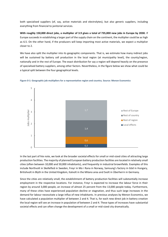both specialised suppliers (of, say, active materials and electrolytes), but also generic suppliers, including everything from financial to janitorial services.

**With roughly 150,000 direct jobs, a multiplier of 3.9 gives a total of 735,000 new jobs in Europe by 2030.** If Europe succeeds in establishing a larger part of the supply chain on the continent, the multiplier could be as high as 6.5. On the other hand, if the producers will keep importing most active materials, we expect a multiplier closer to 2.

We have also split the multiplier into its geographic components. That is, we estimate how many indirect jobs will be sustained by battery cell production in the local region (at municipality level), the county/region, nationally and in the rest of Europe. The exact distribution for say a region will depend heavily on the presence of specialised battery suppliers, among other factors. Nevertheless, in the figure below we show what could be a typical split between the four geographical levels.





In the last part of hte note, we look at the broader societal effects for small or mid-sized cities of attracting large production facilities. The majority of planned European battery production facilities are located in relatively small cities (often between 10,000 and 50,000 inhabitants), and frequently in industrial brownfields. Examples of this include Northvolt in Skellefteå in Sweden, Freyr in Mo i Rana in Norway, Samsung's factory in Göd in Hungary, Britishvolt in Blyth in the United Kingdom, Italvolt in the Milano area and Svolt in Überherrn in Germany.

Since the cities are relatively small, the establishment of battery production facilities will substantially increase employment in the respective locations. For instance, Freyr is expected to increase the labour force in their region by around 3,000 people, an increase of almost 25 percent from the 13,000 people today. Furthermore, many of these cities have experienced population decline or stagnation, and thus such large increases in the demand for labour necessitate a large influx of new inhabitants. In previous analyses by Menon Economics, we have calculated a population multiplier of between 2 and 4. That is, for each new direct job in battery creation the local region will see an increase in population of between 2 and 4. These types of increases have substantial societal effects and can often change the development of a small or mid-sized city dramatically.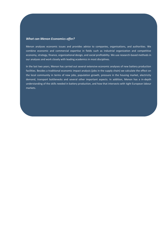## *What can Menon Economics offer?*

Menon analyses economic issues and provides advice to companies, organisations, and authorities. We combine economic and commercial expertise in fields such as industrial organization and competitive economy, strategy, finance, organizational design, and social profitability. We use research-based methods in our analyses and work closely with leading academics in most disciplines.

In the last two years, Menon has carried out several extensive economic analyses of new battery production facilities. Besides a traditional economic impact analysis (jobs in the supply chain) we calculate the effect on the local community in terms of new jobs, population growth, pressure in the housing market, electricity demand, transport bottlenecks and several other important aspects. In addition, Menon has a in-depth understanding of the skills needed in battery production, and how that intersects with tight European labour markets.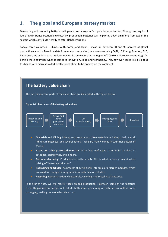# 1. **The global and European battery market**

Developing and producing batteries will play a crucial role in Europe's decarbonisation. Through cutting fossil fuel usage in transportation and electricity production, batteries will help bring down emissions from two of the sectors which contribute heavily to total global emissions.

Today, three countries – China, South Korea, and Japan – make up between 80 and 90 percent of global production capacity. Based on data from major companies (the main ones being CATL, LG Energy Solution, BYD, Panasonic), we estimate that today's market is somewhere in the region of 700 GWh. Europe currently lags far behind these countries when it comes to innovation, skills, and technology. This, however, looks like it is about to change with many so-called gigafactories about to be opened on the continent.

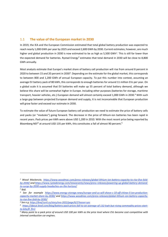## 1.1 **The value of the European market in 2030**

In 2019, the IEA and the European Commission estimated that total global battery production was expected to reach nearly 1,000 GWh per year by 2025 and exceed 2,600 GWh by 2030. Current estimates, however, are much higher and global production in 2030 is now estimated to be as high as 5,500 GWh<sup>1</sup>. This is still far lower than the expected demand for batteries. Rystad Energy<sup>2</sup> estimates that total demand in 2030 will be close to 8,800 GWh annually.

Most analysts estimate that Europe's market share of battery cell production will rise from around 8 percent in 2020 to between 15 and 20 percent in 2030<sup>3</sup>. Depending on the estimate for the global market, this corresponds to between 800 and 1,200 GWh of annual European capacity. To put this number into context, assuming an average EV battery pack of 80 kWh, this corresponds to enough batteries for around 11 million EVs per year. On a global scale it is assumed that EV batteries will make up 55 percent of total battery demand, although we believe this share will be somewhat higher in Europe. Including other purposes (batteries for storage, maritime transport, heavier vehicles, etc.) European demand will almost certainly exceed 1,000 GWh in 2030.<sup>4</sup> With such a large gap between projected European demand and supply, it is not inconceivable that European production will grow faster and exceed our estimate in 2030.

To estimate the value of future European battery cell production we need to estimate the price of battery cells and packs (or "modules") going forward. The decrease in the price of lithium-ion batteries has been rapid in recent years. Pack prices per kWh were above USD 1,200 in 2010. With the most recent price being reported by Bloomberg NEF<sup>5</sup> at around USD 135 per kWh, this constitutes a fall of almost 90 percent.<sup>6</sup>

<sup>&</sup>lt;sup>1</sup> Wood Mackenzie, [https://www.woodmac.com/press-releases/global-lithium-ion-battery-capacity-to-rise-five-fold](https://www.woodmac.com/press-releases/global-lithium-ion-battery-capacity-to-rise-five-fold-by-2030/)*[by-2030/](https://www.woodmac.com/press-releases/global-lithium-ion-battery-capacity-to-rise-five-fold-by-2030/) an[d https://www.rystadenergy.com/newsevents/news/press-releases/powering-up-global-battery-demand](https://www.rystadenergy.com/newsevents/news/press-releases/powering-up-global-battery-demand-to-surge-by-2030-supply-headaches-on-the-horizon/)[to-surge-by-2030-supply-headaches-on-the-horizon/](https://www.rystadenergy.com/newsevents/news/press-releases/powering-up-global-battery-demand-to-surge-by-2030-supply-headaches-on-the-horizon/)*

*<sup>2</sup> Ibid.*

<sup>&</sup>lt;sup>3</sup> See for example [https://www.energy-storage.news/europe-and-us-will-shave-c-10-off-chinas-li-ion-production](https://www.energy-storage.news/europe-and-us-will-shave-c-10-off-chinas-li-ion-production-capacity-market-share-by-2030/)*[capacity-market-share-by-2030/](https://www.energy-storage.news/europe-and-us-will-shave-c-10-off-chinas-li-ion-production-capacity-market-share-by-2030/) and [https://www.woodmac.com/press-releases/global-lithium-ion-battery-capacity](https://www.woodmac.com/press-releases/global-lithium-ion-battery-capacity-to-rise-five-fold-by-2030/)[to-rise-five-fold-by-2030/](https://www.woodmac.com/press-releases/global-lithium-ion-battery-capacity-to-rise-five-fold-by-2030/)* 

*<sup>4</sup> See e.g[. https://bnef.turtl.co/story/evo-2022/page/6/2?teaser=yes](https://bnef.turtl.co/story/evo-2022/page/6/2?teaser=yes)*

*<sup>5</sup> [https://about.bnef.com/blog/battery-pack-prices-fall-to-an-average-of-132-kwh-but-rising-commodity-prices-start](https://about.bnef.com/blog/battery-pack-prices-fall-to-an-average-of-132-kwh-but-rising-commodity-prices-start-to-bite/#_ftn1)[to-bite/#\\_ftn1](https://about.bnef.com/blog/battery-pack-prices-fall-to-an-average-of-132-kwh-but-rising-commodity-prices-start-to-bite/#_ftn1)*

*<sup>6</sup> Many point to a pack price of around USD 100 per kWh as the price level where EVs become cost-competitive with internal combustion car engines.*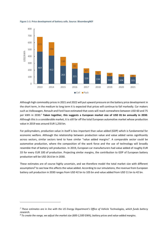

#### **Figure 1-1: Price development of battery cells. Source: BloombergNEF**

Although high commodity prices in 2021 and 2022 will put upward pressure on the battery price development in the short term, in the medium to long term it is expected that prices will continue to fall markedly. Car makers such as Volkswagen, Renault and Ford have estimated that costs will reach somewhere between USD 60 and 75 per kWh in 2030.<sup>7</sup> **Taken together, this suggests a European market size of USD 81 bn annually in 2030**. Although this is a considerable market, it is still far off the total European automotive market whose production value in 2019 was around EUR 1,250 bn.

For policymakers, production value in itself is less important than value added (GDP) which is fundamental for economic welfare. Although the relationship between production value and value added varies significantly across sectors, similar sectors tend to have similar "value added margins". A comparable sector could be automotive production, where the composition of the work force and the use of technology will broadly resemble that of battery cell production. In 2019, European car manufacturers had value added of roughly EUR 33 for every EUR 100 of production. Projecting similar margins, the contribution to GDP of European battery production will be USD 26.6 bn in 2030.

These estimates are of course highly uncertain, and we therefore model the total market size with different assumptions<sup>8</sup> to see how this affects the value added. According to our simulations, the revenue from European battery cell production in 2030 ranges from USD 42 bn to 105 bn and value added from USD 11 bn to 42 bn.

*<sup>7</sup> These estimates are in line with the US Energy Department's Office of Vehicle Technologies, which funds battery research.*

*<sup>8</sup> To create the range, we adjust the market size (600-1,500 GWh), battery prices and value-added margins.*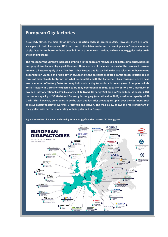## **European Gigafactories**

**As already stated, the majority of battery production today is located in Asia. However, there are largescale plans in both Europe and US to catch-up to the Asian producers. In recent years in Europe, a number of gigafactories for batteries have been built or are under construction, and even more gigafactories are in the planning stages.** 

**The reason for the Europe's increased ambition in the space are manyfold, and both commercial, political, and geopolitical factors play a part. However, there are two of the main reasons for the increased focus on growing a battery supply chain. The first is that Europe and its car industries are reluctant to become too dependent on Chinese and Asian batteries. Secondly, the batteries produced in Asia are less sustainable in terms of their climate footprint that what is compatible with the Paris goals. As a consequence, we have seen a number of battery factories being built and starting to produce in recent years. Examples include Tesla's factory in Germany (expected to be fully operational in 2023, capacity of 40 GWh), Northvolt in Sweden (fully operational in 2024, capacity of 32 GWh), LG Energy Solution in Poland (operational in 2018, maximum capacity of 35 GWh) and Samsung in Hungary (operational in 2018, maximum capacity of 30 GWh). This, however, only seems to be the start and factories are popping up all over the continent, such as Freyr battery factory in Norway, Britishvolt and Italvolt. The map below shows the most important of the gigafactories currently operating or being planned in Europe.** 



**Figur 2. Overview of planned and existing European gigafactories. Source: CIC Energigune**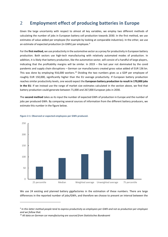# 2 **Employment effect of producing batteries in Europe**

Given the large uncertainty with respect to almost all key variables, we employ two different methods of calculating the number of jobs in European battery cell production towards 2030. In the first method, we use estimates of value added per employee (for example by looking at comparable industries). In the other, we use an estimate of expected production (in GWh) per employee.<sup>9</sup>

For the **first method,** we use productivity in the automotive sector as a proxy for productivity in European battery production. Both sectors use high-tech manufacturing with relatively automated modes of production. In addition, it is likely that battery production, like the automotive sector, will consist of a handful of large players, indicating that the profitability margins will be similar. In 2019 – the last year not dominated by the covid pandemic and supply chain disruptions – German car manufacturers created gross value added of EUR 136 bn. This was done by employing 916,000 workers.<sup>10</sup> Dividing the two numbers gives us a GDP per employee of roughly EUR 150,000, significantly higher than the EU average productivity. If European battery production reaches similar productivity levels, one would expect the **European battery production to result in 170,000 jobs in the EU**. If we instead use the range of market size estimates calculated in the section above, we find that battery production could generate between 71,000 and 267,000 European jobs in 2030.

The **second method** takes as its input the number of expected GWh of production in Europe and the number of jobs per produced GWh. By comparing several sources of information from the different battery producers, we estimate this number in the figure below.



### **Figure 2-1: Observed or expected employees per GWh produced.**

We use 24 existing and planned battery gigafactories in the estimation of these numbers. There are large differences in the reported number of jobs/GWh, and therefore we choose to present an interval between the

*<sup>9</sup> In this latter method people tend to express productivity as employees per GWh and not as production per employee and we follow that.*

*<sup>10</sup> All data on German car manufacturing are sourced from Statistisches Bundesamt*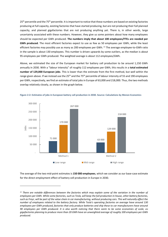25<sup>th</sup> percentile and the 75<sup>th</sup> percentile. It is important to notice that these numbers are based on existing factories producing at full capacity, existing factories that have started producing, but are not producing their full planned capacity, and planned gigafactories that are not producing anything yet. There is, in other words, large uncertainty associated with these numbers. However, they give us some pointers about how many employees should be expected per GWh produced. **The numbers imply that about 100 employees/FTEs are needed per GWh produced**. The most efficient factories expect to use as few as 50 employees per GWh, while the least efficient factories may possibly use as many as 200 employees per GWh. <sup>11</sup> The average employee-to-GWh ratio in the sample is about 130 employees. This number is driven upwards by some outliers, as the median is about 95 employees per GWh produced. The weighted average is about 112 employees/GWh.

Above, we estimated the size of the European market for battery cell production to be around 1,150 GWh annually in 2030. With a "labour intensity" of roughly 112 employees per GWh, this results in a **total estimated number of 129,000 European jobs**. This is lower than the estimate from the first method, but well within the range given above. If we instead use the 25<sup>th</sup> and the 75<sup>th</sup> percentile of labour intensity of 55 and 190 employees per GWh, respectively, we find an estimate of total jobs in Europe of 63,000 and 218,000. Thus, the two methods overlap relatively closely, as shown in the graph below.



**Figure 2-2: Estimates of jobs in European battery cell production in 2030. Source: Calculations by Menon Economics**

The average of the two mid-point estimates is **150 000 employees**, which we consider as our base-case estimate for the direct employment effect of battery cell production in Europe in 2030.

<sup>&</sup>lt;sup>11</sup> There are notable differences between the factories which may explain some of the variation in the number of *employees per GWh. While some factories, such as Tesla, will keep the full production in-house, other battery factories, such as Freyr, will be part of the value chain in car manufacturing, without producing cars. This will naturally affect the number of employees related to the battery factory. While Tesla's operating factories on average have around 130 employees per GWh produced, factories that only produce batteries and ship these to car manufacturers have around 90 employees per GWh produced. It is also worth noticing that there seem to be some economies of scale, as gigafactories planning to produce more than 20 GWh have an unweighted average of roughly 100 employees per GWh produced.*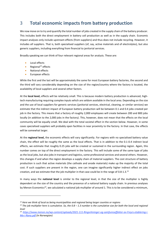# 3 **Total economic impacts from battery production**

We now move on to try and quantify the total number of jobs created in the supply chain of the battery producer. This includes both the direct employment in battery cell production as well as in the supply chain. Economic impact analyses only include upstream effects (from suppliers) and thus does not include recycling. However, it includes *all* suppliers. That is, both specialised suppliers (of, say, active materials and of electrolytes), but also generic suppliers, including everything from financial to janitorial services.

Broadly speaking we can think of four relevant regional areas for analysis. These are:

- Local effects
- Regional<sup>12</sup> effects
- National effects
- European effects

While the first and the last will be approximately the same for most European battery factories, the second and the third will vary considerably depending on the size of the region/country where the factory is located, the availability of local suppliers and several other factors.

At the **local level,** effects will be relatively small. This is because modern battery production is advanced, hightech manufacturing requiring complex inputs which are seldom available in the local area. Depending on the size and the use of local suppliers for generic services (janitorial services, electrical, cleaning, or similar services) we estimate that the indirect impact of European battery production will be between 0.1 and 0.4 jobs created per job in the factory. This means that a factory of roughly 2,000 employees will create between 200 and 800 jobs locally (in addition to the 2,000 jobs in the factory). This, however, does not mean that the effects on the local community will be equally small. We deal with the total societal effect in the section below. However, in some cases specialised suppliers will probably open facilities in near proximity to the factory. In that case, the effects will be somewhat larger.

At the **regional level,** the economic effects will vary significantly. For regions with no specialised battery value chain, the effect will be roughly the same as the local effects. That is in addition to the 0.1-0.4 indirect local effects, we estimate that roughly 0.25 jobs will be created or sustained in the surrounding region. Again, this number comes on top of the direct employment in the factory. This will include some of the same type of jobs as the local jobs, but also jobs in transport and logistics, some professional services and several others. However, this changes if and when the region develops a supply chain of material suppliers. The cost structure of battery production is such that active materials (the cathode and anode materials) make up the majority of the total cost. If such suppliers are present in the region, one can imagine significantly higher indirect effect on jobs creation, and we estimate that the job multiplier in that case could be in the range of 0.8-1.3.<sup>13</sup>

In many ways the **national level** is similar to the regional level, in that the size of the multiplier is highly dependent on the size of the country and the presence of a national battery supply chain. In previous analyses by Menon Economics<sup>14</sup>, we calculated a national job multiplier of around 1. This is to be considered a minimum,

*<sup>12</sup> Here we think of local as being municipalities and regional being larger counties or regions*

*<sup>13</sup> The job multiplier here is cumulative. So, the 0.8 – 1.3 number is the cumulative size for both the local and regional level*

*<sup>14</sup> [https://www.menon.no/wp-content/uploads/2021-111-Ringvirkninger-og-samfunnseffekter-av-Freyrs-etablering-i-](https://www.menon.no/wp-content/uploads/2021-111-Ringvirkninger-og-samfunnseffekter-av-Freyrs-etablering-i-Mo-i-Rana.pdf)[Mo-i-Rana.pdf](https://www.menon.no/wp-content/uploads/2021-111-Ringvirkninger-og-samfunnseffekter-av-Freyrs-etablering-i-Mo-i-Rana.pdf) (in Norwegian)*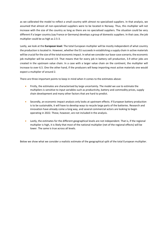as we calibrated the model to reflect a small country with almost no specialised suppliers. In that analysis, we assumed that almost all non-specialised suppliers were to be located in Norway. Thus, this multiplier will not increase with the size of the country as long as there are no specialised suppliers. The situation could be very different if a larger country (say France or Germany) develops a group of domestic suppliers. In that case, the job multiplier could be as high as 2.5-3.

Lastly, we look at the **European level**. The total European multiplier will be mostly independent of what country the production is located in. However, whether the EU succeeds in establishing a supply chain in active materials will be crucial for the size of the total economic impact. In what we consider our base-case scenario, the economic job multiplier will be around 3.9. That means that for every job in battery cell production, 3.9 other jobs are created in the upstream value chain. In a case with a larger value chain on the continent, the multiplier will increase to over 6.5. One the other hand, if the producers will keep importing most active materials one would expect a multiplier of around 2.

There are three important points to keep in mind when it comes to the estimates above:

- Firstly, the estimates are characterised by large uncertainty. The model we use to estimate the multipliers is sensitive to input variables such as productivity, battery and commodity prices, supply chain development and many other factors that are hard to predict.
- Secondly, an economic impact analysis only looks at upstream effects. If European battery production is to be sustainable, it will have to develop ways to recycle large parts of the batteries. Research and innovation have already come a long way, and several commercial actors are looking to begin operating in 2022. These, however, are not included in the analysis.
- Lastly, the estimates for the different geographical levels are not independent. That is, if the regional multiplier is high, it is likely that most of the national multiplier (net of the regional effects) will be lower. The same is true across all levels.

Below we show what we consider a realistic estimate of the geographical split of the total European multiplier.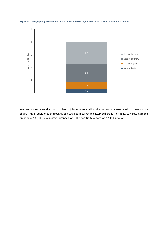

**Figure 3-1: Geographic job multipliers for a representative region and country. Source: Menon Economics**

We can now estimate the total number of jobs in battery cell production and the associated upstream supply chain. Thus, in addition to the roughly 150,000 jobs in European battery cell production in 2030, we estimate the creation of 585 000 new indirect European jobs. This constitutes a total of 735 000 new jobs.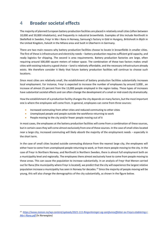## 4 **Broader societal effects**

The majority of planned European battery production facilities are placed in relatively small cities (often between 10,000 and 50,000 inhabitants), and frequently in industrial brownfields. Examples of this include Northvolt in Skellefteå in Sweden, Freyr in Mo i Rana in Norway, Samsung's factory in Göd in Hungary, Britishvolt in Blyth in the United Kingdom, Italvolt in the Milano area and Svolt in Überherrn in Germany.

There are two main reasons why battery production facilities choose to locate in brownfields in smaller cities. The first of these is infrastructure and electricity needs – battery production requires sufficient grid capacity, and ready logistics for shipping. The second is area requirements. Battery production factories are large, often requiring around 500,000 square meters of indoor space. The combination of these two factors makes small cities with existing industry a good choice – land is relatively affordable, and the necessary infrastructure already exists. We therefore consider it likely that future battery production facilities will continue to choose such locations.

Since most cities are relatively small, the establishment of battery production facilities substantially increases local employment. For instance, Freyr is expected to increase the number of employees by around 3,000 , an increase of almost 25 percent from the 13,000 people employed in the region today. These types of increases have substantial societal effects and can often change the development of a small or mid-sized city dramatically.

How the establishment of a production facility changes the city depends on many factors, but the most important one is where the employees will come from. In general, employees can come from three sources:

- Increased commuting from other cities and reduced commuting to other cities
- Unemployed people and people outside the workforce returning to work
- People moving to the city and/or fewer people moving out of it

In most cases, the employees at the battery production facilities will come from a combination of these sources, but in certain cases they will come almost exclusively from one of these sources. In the case of small cities located near a large city, increased commuting will likely absorb the majority of the employment needs – especially in the short term.

In the case of small cities located outside commuting distance from the nearest large city, the employees will either have to come from unemployed people returning to work, or from more people moving to the city. In the case of Freyr in Northern Norway, and Northvolt in Northern Sweden, there is almost full employment both on a municipality level and regionally. The employees there almost exclusively have to come from people moving to these areas. This can cause the population to increase substantially. In an analysis of Freyr that Menon carried out for Rana (the municipality where Freyr is located), we predict that the city will experience the largest relative population increase a municipality has seen in Norway for decades.<sup>15</sup> Since the majority of people moving will be young, this will also change the demographics of the city substantially, as shown in the figure below.

*<sup>15</sup> [https://www.menon.no/wp-content/uploads/2021-111-Ringvirkninger-og-samfunnseffekter-av-Freyrs-etablering-i-](https://www.menon.no/wp-content/uploads/2021-111-Ringvirkninger-og-samfunnseffekter-av-Freyrs-etablering-i-Mo-i-Rana.pdf)[Mo-i-Rana.pdf](https://www.menon.no/wp-content/uploads/2021-111-Ringvirkninger-og-samfunnseffekter-av-Freyrs-etablering-i-Mo-i-Rana.pdf) (in Norwegian)*